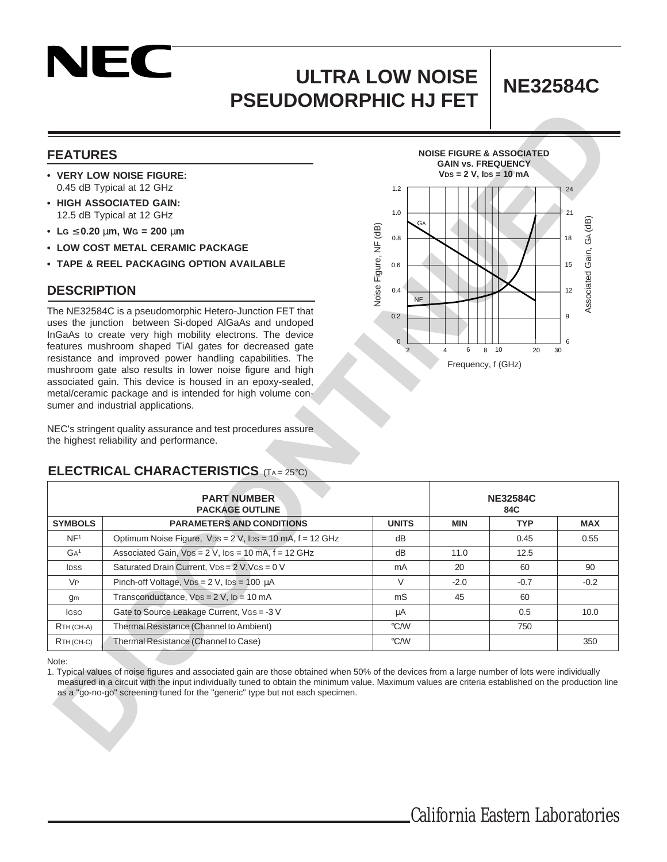# **ULTRA LOW NOISE PSEUDOMORPHIC HJ FET NE32584C**

#### **FEATURES**

NEC

- **HIGH ASSOCIATED GAIN:** 12.5 dB Typical at 12 GHz
- **LG** ≤ **0.20** µ**m, WG = 200** µ**m**
- **LOW COST METAL CERAMIC PACKAGE**
- **TAPE & REEL PACKAGING OPTION AVAILABLE**

#### **DESCRIPTION**

#### **ELECTRICAL CHARACTERISTICS** (TA = 25°C)

| <b>GAIN vs. FREQUENCY</b><br>$V_{DS} = 2 V$ , $I_{DS} = 10 mA$<br>$1.2$<br>24<br>21<br>1.0<br>Associated Gain, GA (dB)<br>GA<br>0.8<br>18<br>15<br>0.6<br>0.4<br>12<br><b>NF</b><br>0.2<br>9<br>6<br>$\Omega$<br>$\overline{2}$<br>6<br>8 10<br>4<br>20<br>30<br>Frequency, f (GHz)<br><b>NE32584C</b><br>84C |
|---------------------------------------------------------------------------------------------------------------------------------------------------------------------------------------------------------------------------------------------------------------------------------------------------------------|
|                                                                                                                                                                                                                                                                                                               |
|                                                                                                                                                                                                                                                                                                               |
|                                                                                                                                                                                                                                                                                                               |
|                                                                                                                                                                                                                                                                                                               |
|                                                                                                                                                                                                                                                                                                               |
|                                                                                                                                                                                                                                                                                                               |
|                                                                                                                                                                                                                                                                                                               |
|                                                                                                                                                                                                                                                                                                               |
|                                                                                                                                                                                                                                                                                                               |
|                                                                                                                                                                                                                                                                                                               |
|                                                                                                                                                                                                                                                                                                               |
|                                                                                                                                                                                                                                                                                                               |
|                                                                                                                                                                                                                                                                                                               |
|                                                                                                                                                                                                                                                                                                               |
|                                                                                                                                                                                                                                                                                                               |
|                                                                                                                                                                                                                                                                                                               |
|                                                                                                                                                                                                                                                                                                               |
|                                                                                                                                                                                                                                                                                                               |
| <b>UNITS</b><br><b>TYP</b><br><b>MIN</b><br><b>MAX</b>                                                                                                                                                                                                                                                        |
| 0.45<br>0.55                                                                                                                                                                                                                                                                                                  |
| 11.0<br>12.5<br>20<br>60<br>90                                                                                                                                                                                                                                                                                |
| $-2.0$<br>$-0.7$<br>$-0.2$                                                                                                                                                                                                                                                                                    |
| 45<br>60                                                                                                                                                                                                                                                                                                      |
| 0.5<br>10.0                                                                                                                                                                                                                                                                                                   |
| 750                                                                                                                                                                                                                                                                                                           |
| °C∕W<br>350                                                                                                                                                                                                                                                                                                   |
| dВ<br>dB<br>mA<br>$\vee$<br>mS<br>μA<br>$\mathrm{C}/\mathrm{W}$                                                                                                                                                                                                                                               |

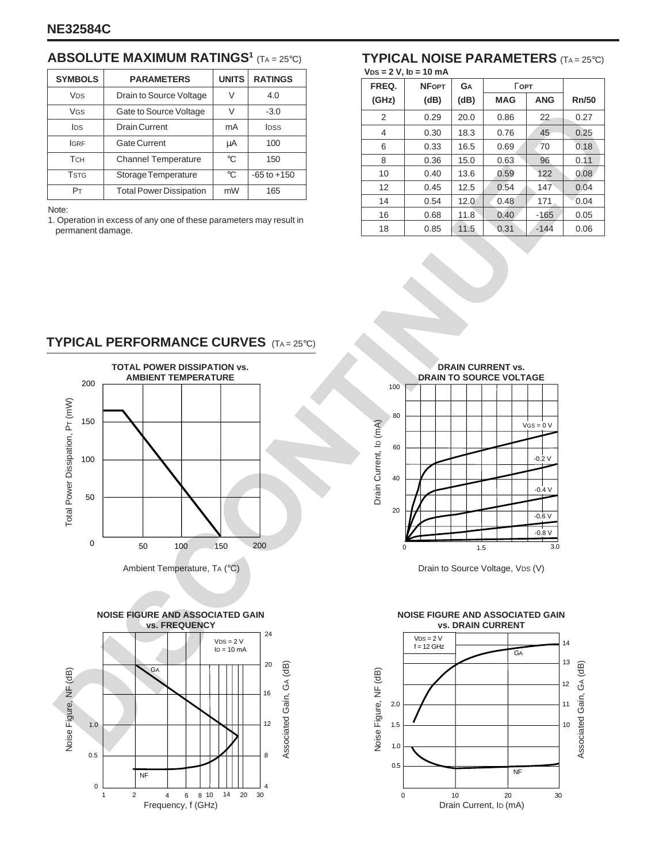## **ABSOLUTE MAXIMUM RATINGS<sup>1</sup> (TA = 25°C) <b>TYPICAL NOISE PARAMETERS** (TA = 25°C)

| <b>SYMBOLS</b>        | <b>PARAMETERS</b>              | <b>UNITS</b> | <b>RATINGS</b>   |
|-----------------------|--------------------------------|--------------|------------------|
| <b>V<sub>DS</sub></b> | Drain to Source Voltage        | V            | 4.0              |
| <b>VGS</b>            | Gate to Source Voltage         | $\vee$       | $-3.0$           |
| I <sub>DS</sub>       | <b>Drain Current</b>           | mA           | I <sub>DSS</sub> |
| <b>IGRF</b>           | Gate Current                   | μA           | 100              |
| <b>TCH</b>            | <b>Channel Temperature</b>     | $^{\circ}C$  | 150              |
| Tstg                  | Storage Temperature            | $^{\circ}C$  | $-65$ to $+150$  |
| Pт                    | <b>Total Power Dissipation</b> | mW           | 165              |

Note:

1. Operation in excess of any one of these parameters may result in permanent damage.

# **VDS = 2 V, ID = 10 mA**

| FREQ. | <b>NFOPT</b> | <b>GA</b> | $\Gamma$ OPT |            |       |
|-------|--------------|-----------|--------------|------------|-------|
| (GHz) | (dB)         | (dB)      | <b>MAG</b>   | <b>ANG</b> | Rn/50 |
| 2     | 0.29         | 20.0      | 0.86         | 22         | 0.27  |
| 4     | 0.30         | 18.3      | 0.76         | 45         | 0.25  |
| 6     | 0.33         | 16.5      | 0.69         | 70         | 0.18  |
| 8     | 0.36         | 15.0      | 0.63         | 96         | 0.11  |
| 10    | 0.40         | 13.6      | 0.59         | 122        | 0.08  |
| 12    | 0.45         | 12.5      | 0.54         | 147        | 0.04  |
| 14    | 0.54         | 12.0      | 0.48         | 171        | 0.04  |
| 16    | 0.68         | 11.8      | 0.40         | $-165$     | 0.05  |
| 18    | 0.85         | 11.5      | 0.31         | $-144$     | 0.06  |

# **TYPICAL PERFORMANCE CURVES** (TA = 25°C)







**DRAIN CURRENT vs. DRAIN TO SOURCE VOLTAGE**



Drain to Source Voltage, VDS (V)

**NOISE FIGURE AND ASSOCIATED GAIN vs. DRAIN CURRENT**

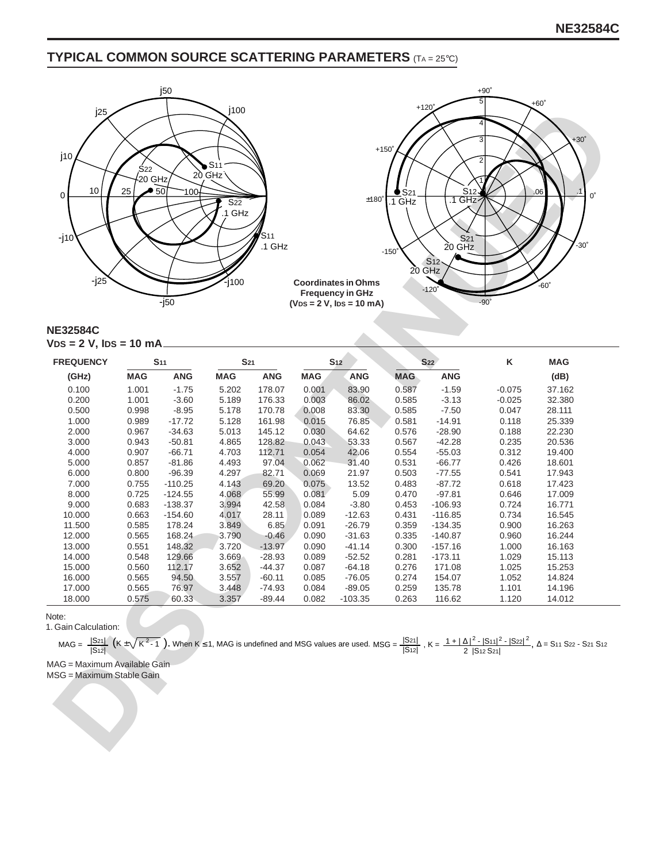# **TYPICAL COMMON SOURCE SCATTERING PARAMETERS** (TA = 25°C)



| j25<br>j10<br>10<br>0<br>$-j10$<br>$-j25$<br><b>NE32584C</b>                                                                                                                                                                                                                                                                                     | S <sub>22</sub><br>$\frac{I}{20}$ GHz<br>25 | $\bullet$ 50<br>100<br>$-$ j50 | j100<br>S <sub>11</sub><br>20 GHz<br>$\overline{\text{S22}}$<br>1 GHz<br>j100 | $S_{11}$<br>.1 GHz |            | $±180^\circ$<br><b>Coordinates in Ohms</b><br><b>Frequency in GHz</b><br>$(VDS = 2 V, IDs = 10 mA)$ | +120<br>$+150$<br>S21<br>$.1$ GHz<br>$-150^\circ$ | S <sub>12</sub><br>- 1 GHz<br>$\sum_{20}$ S <sub>21</sub><br>$\sum_{20}$ S <sub>12</sub><br>$-120$ | 3<br>$-90^{\circ}$ | $+30^\circ$<br>06<br>.1<br>$30^\circ$<br>$60^\circ$ | $0^{\circ}$ |
|--------------------------------------------------------------------------------------------------------------------------------------------------------------------------------------------------------------------------------------------------------------------------------------------------------------------------------------------------|---------------------------------------------|--------------------------------|-------------------------------------------------------------------------------|--------------------|------------|-----------------------------------------------------------------------------------------------------|---------------------------------------------------|----------------------------------------------------------------------------------------------------|--------------------|-----------------------------------------------------|-------------|
| $VDS = 2 V$ , $IDS = 10 mA$                                                                                                                                                                                                                                                                                                                      |                                             |                                |                                                                               |                    |            |                                                                                                     |                                                   |                                                                                                    |                    |                                                     |             |
| <b>FREQUENCY</b>                                                                                                                                                                                                                                                                                                                                 |                                             | S <sub>11</sub>                | S <sub>21</sub>                                                               |                    |            | S <sub>12</sub>                                                                                     |                                                   | S <sub>22</sub>                                                                                    | Κ                  | <b>MAG</b>                                          |             |
| (GHz)                                                                                                                                                                                                                                                                                                                                            | <b>MAG</b>                                  | <b>ANG</b>                     | <b>MAG</b>                                                                    | <b>ANG</b>         | <b>MAG</b> | <b>ANG</b>                                                                                          | <b>MAG</b>                                        | <b>ANG</b>                                                                                         |                    | (dB)                                                |             |
| 0.100                                                                                                                                                                                                                                                                                                                                            | 1.001                                       | $-1.75$                        | 5.202                                                                         | 178.07             | 0.001      | 83.90                                                                                               | 0.587                                             | $-1.59$                                                                                            | $-0.075$           | 37.162                                              |             |
| 0.200                                                                                                                                                                                                                                                                                                                                            | 1.001                                       | $-3.60$                        | 5.189                                                                         | 176.33             | 0.003      | 86.02                                                                                               | 0.585                                             | $-3.13$                                                                                            | $-0.025$           | 32.380                                              |             |
| 0.500                                                                                                                                                                                                                                                                                                                                            | 0.998                                       | $-8.95$                        | 5.178                                                                         | 170.78             | 0.008      | 83.30                                                                                               | 0.585                                             | $-7.50$                                                                                            | 0.047              | 28.111                                              |             |
| 1.000                                                                                                                                                                                                                                                                                                                                            | 0.989                                       | $-17.72$                       | 5.128                                                                         | 161.98             | 0.015      | 76.85                                                                                               | 0.581                                             | $-14.91$                                                                                           | 0.118              | 25.339                                              |             |
| 2.000                                                                                                                                                                                                                                                                                                                                            | 0.967                                       | $-34.63$                       | 5.013                                                                         | 145.12             | 0.030      | 64.62                                                                                               | 0.576                                             | $-28.90$                                                                                           | 0.188              | 22.230                                              |             |
| 3.000                                                                                                                                                                                                                                                                                                                                            | 0.943                                       | $-50.81$                       | 4.865                                                                         | 128.82             | 0.043      | 53.33                                                                                               | 0.567                                             | $-42.28$                                                                                           | 0.235              | 20.536                                              |             |
| 4.000                                                                                                                                                                                                                                                                                                                                            | 0.907                                       | $-66.71$                       | 4.703                                                                         | 112.71             | 0.054      | 42.06                                                                                               | 0.554                                             | $-55.03$                                                                                           | 0.312              | 19.400                                              |             |
| 5.000                                                                                                                                                                                                                                                                                                                                            | 0.857                                       | $-81.86$                       | 4.493                                                                         | 97.04              | 0.062      | 31.40                                                                                               | 0.531                                             | $-66.77$                                                                                           | 0.426              | 18.601                                              |             |
| 6.000                                                                                                                                                                                                                                                                                                                                            | 0.800                                       | $-96.39$                       | 4.297                                                                         | 82.71              | 0.069      | 21.97                                                                                               | 0.503                                             | $-77.55$                                                                                           | 0.541              | 17.943                                              |             |
| 7.000                                                                                                                                                                                                                                                                                                                                            | 0.755                                       | $-110.25$                      | 4.143                                                                         | 69.20              | 0.075      | 13.52                                                                                               | 0.483                                             | $-87.72$                                                                                           | 0.618              | 17.423                                              |             |
| 8.000                                                                                                                                                                                                                                                                                                                                            | 0.725                                       | $-124.55$                      | 4.068                                                                         | 55.99              | 0.081      | 5.09                                                                                                | 0.470                                             | $-97.81$                                                                                           | 0.646              | 17.009                                              |             |
| 9.000                                                                                                                                                                                                                                                                                                                                            | 0.683                                       | $-138.37$                      | 3.994                                                                         | 42.58              | 0.084      | $-3.80$                                                                                             | 0.453                                             | $-106.93$                                                                                          | 0.724              | 16.771                                              |             |
| 10.000                                                                                                                                                                                                                                                                                                                                           | 0.663                                       | $-154.60$                      | 4.017                                                                         | 28.11              | 0.089      | $-12.63$                                                                                            | 0.431                                             | $-116.85$                                                                                          | 0.734              | 16.545                                              |             |
| 11.500                                                                                                                                                                                                                                                                                                                                           | 0.585                                       | 178.24                         | 3.849                                                                         | 6.85               | 0.091      | $-26.79$                                                                                            | 0.359                                             | $-134.35$                                                                                          | 0.900              | 16.263                                              |             |
| 12.000                                                                                                                                                                                                                                                                                                                                           | 0.565                                       | 168.24                         | 3.790                                                                         | $-0.46$            | 0.090      | $-31.63$                                                                                            | 0.335                                             | $-140.87$                                                                                          | 0.960              | 16.244                                              |             |
| 13.000                                                                                                                                                                                                                                                                                                                                           | 0.551                                       | 148.32                         | 3.720                                                                         | $-13.97$           | 0.090      | $-41.14$                                                                                            | 0.300                                             | $-157.16$                                                                                          | 1.000              | 16.163                                              |             |
| 14.000                                                                                                                                                                                                                                                                                                                                           | 0.548                                       | 129.66                         | 3.669                                                                         | $-28.93$           | 0.089      | $-52.52$                                                                                            | 0.281                                             | $-173.11$                                                                                          | 1.029              | 15.113                                              |             |
| 15.000                                                                                                                                                                                                                                                                                                                                           | 0.560                                       | 112.17                         | 3.652                                                                         | $-44.37$           | 0.087      | $-64.18$                                                                                            | 0.276                                             | 171.08                                                                                             | 1.025              | 15.253                                              |             |
| 16.000                                                                                                                                                                                                                                                                                                                                           | 0.565                                       | 94.50                          | 3.557                                                                         | $-60.11$           | 0.085      | $-76.05$                                                                                            | 0.274                                             | 154.07                                                                                             | 1.052              | 14.824                                              |             |
| 17.000                                                                                                                                                                                                                                                                                                                                           | 0.565                                       | 76.97                          | 3.448                                                                         | $-74.93$           | 0.084      | $-89.05$                                                                                            | 0.259                                             | 135.78                                                                                             | 1.101              | 14.196                                              |             |
| 18.000                                                                                                                                                                                                                                                                                                                                           | 0.575                                       | 60.33                          | 3.357                                                                         | $-89.44$           | 0.082      | $-103.35$                                                                                           | 0.263                                             | 116.62                                                                                             | 1.120              | 14.012                                              |             |
| Note:<br>1. Gain Calculation:<br>MAG = $\frac{ S_2 }{ S_1 ^2}$ $(K \pm \sqrt{K^2 - 1})$ . When K ≤ 1, MAG is undefined and MSG values are used. MSG = $\frac{ S_2 }{ S_1 ^2}$ , K = $\frac{1 +  \Delta ^2 -  S_1  ^2 -  S_2  ^2}{2  S_1 ^2  S_2 ^2}$ , $\Delta$ = S11 S22 - S21 S12<br>MAG = Maximum Available Gain<br>MSG = Maximum Stable Gain |                                             |                                |                                                                               |                    |            |                                                                                                     |                                                   |                                                                                                    |                    |                                                     |             |

Note:

|  | MAG = $\frac{ S_2 }{ S_2 }$ (K $\pm \sqrt{K^2-1}$ ). When K $\le 1$ , MAG is undefined and MSG values are used. MSG = $\frac{ S_2 }{ S_2 }$ , K = $\frac{1+ \Delta ^2- S_1  ^2- S_2 ^2}{ S_2 }$ , $\Delta$ = S <sub>11</sub> S <sub>22</sub> - S <sub>21</sub> S <sub>12</sub> |  |  |
|--|--------------------------------------------------------------------------------------------------------------------------------------------------------------------------------------------------------------------------------------------------------------------------------|--|--|
|  |                                                                                                                                                                                                                                                                                |  |  |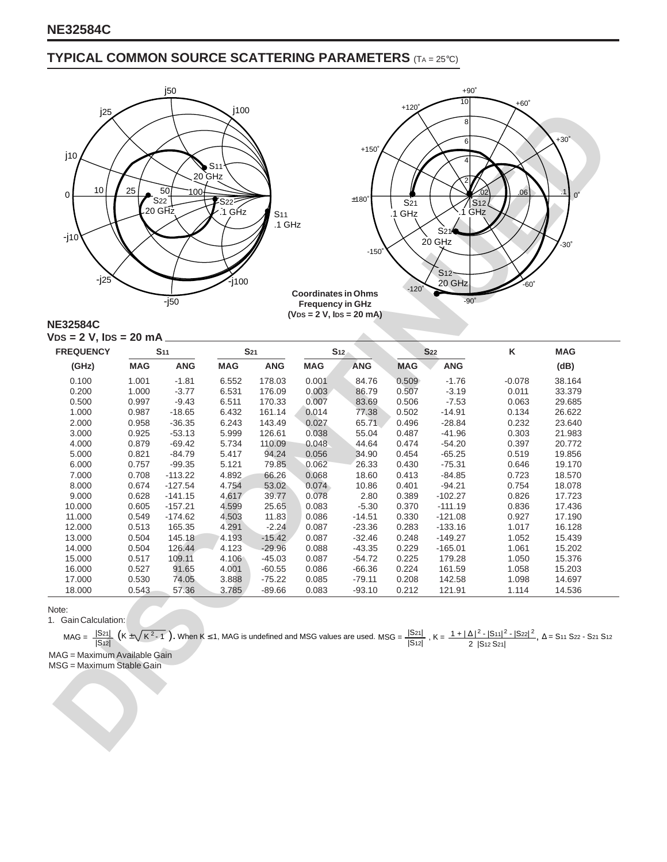#### **TYPICAL COMMON SOURCE SCATTERING PARAMETERS** (TA = 25°C)



**NE32584C**

|  |  |  |  |  |  |  |  | Vɒs = 2 V, Iɒs = 20 mA |
|--|--|--|--|--|--|--|--|------------------------|
|--|--|--|--|--|--|--|--|------------------------|

| j25<br>j10<br>10<br>0<br>$ j10$<br>$-j25$<br><b>NE32584C</b><br>VDS = 2 V, IDS = 20 mA     | 25         | 50<br>$100-$<br>S <sub>22</sub><br>20 GHZ<br>$-$ j50 | j100<br>S1<br>20 GHz<br>S <sub>22</sub><br>1 GHz<br>$-1100$ | S <sub>11</sub><br>.1 GHz | <b>Coordinates in Ohms</b><br><b>Frequency in GHz</b><br>$(VDS = 2 V, IDs = 20 mA)$ | $+150$<br>$±180^\circ$<br>$-150^\circ$ | +120)<br>S <sub>21</sub><br>GHz<br>.1<br>$-120$ | 8<br>6<br>S <sub>12</sub><br>.1 GHz<br>S <sub>21</sub><br>20 GHz<br>S <sub>12</sub><br>20 GHz<br>$-90^\circ$ | .06<br>60° | $+30^\circ$<br>$30^\circ$                                                                                                                                                                                                         |
|--------------------------------------------------------------------------------------------|------------|------------------------------------------------------|-------------------------------------------------------------|---------------------------|-------------------------------------------------------------------------------------|----------------------------------------|-------------------------------------------------|--------------------------------------------------------------------------------------------------------------|------------|-----------------------------------------------------------------------------------------------------------------------------------------------------------------------------------------------------------------------------------|
| <b>FREQUENCY</b>                                                                           |            | S <sub>11</sub>                                      | S <sub>21</sub>                                             |                           | S <sub>12</sub>                                                                     |                                        |                                                 | S <sub>22</sub>                                                                                              | $\sf K$    | <b>MAG</b>                                                                                                                                                                                                                        |
| (GHz)                                                                                      | <b>MAG</b> | <b>ANG</b>                                           | <b>MAG</b>                                                  | <b>ANG</b>                | <b>MAG</b>                                                                          | <b>ANG</b>                             | <b>MAG</b>                                      | <b>ANG</b>                                                                                                   |            | (dB)                                                                                                                                                                                                                              |
| 0.100                                                                                      | 1.001      | $-1.81$                                              | 6.552                                                       | 178.03                    | 0.001                                                                               | 84.76                                  | 0.509                                           | $-1.76$                                                                                                      | $-0.078$   | 38.164                                                                                                                                                                                                                            |
| 0.200                                                                                      | 1.000      | $-3.77$                                              | 6.531                                                       | 176.09                    | 0.003                                                                               | 86.79                                  | 0.507                                           | $-3.19$                                                                                                      | 0.011      | 33.379                                                                                                                                                                                                                            |
| 0.500                                                                                      | 0.997      | $-9.43$                                              | 6.511                                                       | 170.33                    | 0.007                                                                               | 83.69                                  | 0.506                                           | $-7.53$                                                                                                      | 0.063      | 29.685                                                                                                                                                                                                                            |
| 1.000                                                                                      | 0.987      | $-18.65$                                             | 6.432                                                       | 161.14                    | 0.014                                                                               | 77.38                                  | 0.502                                           | $-14.91$                                                                                                     | 0.134      | 26.622                                                                                                                                                                                                                            |
| 2.000                                                                                      | 0.958      | $-36.35$                                             | 6.243                                                       | 143.49                    | 0.027                                                                               | 65.71                                  | 0.496                                           | $-28.84$                                                                                                     | 0.232      | 23.640                                                                                                                                                                                                                            |
| 3.000                                                                                      | 0.925      | $-53.13$                                             | 5.999                                                       | 126.61                    | 0.038                                                                               | 55.04                                  | 0.487                                           | $-41.96$                                                                                                     | 0.303      | 21.983                                                                                                                                                                                                                            |
| 4.000                                                                                      | 0.879      | $-69.42$                                             | 5.734                                                       |                           | 0.048                                                                               | 44.64                                  | 0.474                                           |                                                                                                              | 0.397      |                                                                                                                                                                                                                                   |
|                                                                                            |            |                                                      |                                                             | 110.09                    |                                                                                     |                                        |                                                 | -54.20                                                                                                       |            | 20.772                                                                                                                                                                                                                            |
| 5.000                                                                                      | 0.821      | $-84.79$                                             | 5.417                                                       | 94.24                     | 0.056                                                                               | 34.90                                  | 0.454                                           | $-65.25$                                                                                                     | 0.519      | 19.856                                                                                                                                                                                                                            |
| 6.000                                                                                      | 0.757      | $-99.35$                                             | 5.121                                                       | 79.85                     | 0.062                                                                               | 26.33                                  | 0.430                                           | $-75.31$                                                                                                     | 0.646      | 19.170                                                                                                                                                                                                                            |
| 7.000                                                                                      | 0.708      | $-113.22$                                            | 4.892                                                       | 66.26                     | 0.068                                                                               | 18.60                                  | 0.413                                           | $-84.85$                                                                                                     | 0.723      | 18.570                                                                                                                                                                                                                            |
| 8.000                                                                                      | 0.674      | $-127.54$                                            | 4.754                                                       | 53.02                     | 0.074                                                                               | 10.86                                  | 0.401                                           | $-94.21$                                                                                                     | 0.754      | 18.078                                                                                                                                                                                                                            |
| 9.000                                                                                      | 0.628      | $-141.15$                                            | 4.617                                                       | 39.77                     | 0.078                                                                               | 2.80                                   | 0.389                                           | $-102.27$                                                                                                    | 0.826      | 17.723                                                                                                                                                                                                                            |
| 10.000                                                                                     | 0.605      | $-157.21$                                            | 4.599                                                       | 25.65                     | 0.083                                                                               | $-5.30$                                | 0.370                                           | $-111.19$                                                                                                    | 0.836      | 17.436                                                                                                                                                                                                                            |
| 11.000                                                                                     | 0.549      | $-174.62$                                            | 4.503                                                       | 11.83                     | 0.086                                                                               | $-14.51$                               | 0.330                                           | $-121.08$                                                                                                    | 0.927      | 17.190                                                                                                                                                                                                                            |
| 12.000                                                                                     | 0.513      | 165.35                                               | 4.291                                                       | $-2.24$                   | 0.087                                                                               | $-23.36$                               | 0.283                                           | $-133.16$                                                                                                    | 1.017      | 16.128                                                                                                                                                                                                                            |
| 13.000                                                                                     | 0.504      | 145.18                                               | 4.193                                                       | $-15.42$                  | 0.087                                                                               | $-32.46$                               | 0.248                                           | $-149.27$                                                                                                    | 1.052      | 15.439                                                                                                                                                                                                                            |
| 14.000                                                                                     | 0.504      | 126.44                                               | 4.123                                                       | $-29.96$                  | 0.088                                                                               | $-43.35$                               | 0.229                                           | $-165.01$                                                                                                    | 1.061      | 15.202                                                                                                                                                                                                                            |
| 15.000                                                                                     | 0.517      | 109.11                                               | 4.106                                                       | $-45.03$                  | 0.087                                                                               | $-54.72$                               | 0.225                                           | 179.28                                                                                                       | 1.050      | 15.376                                                                                                                                                                                                                            |
| 16.000                                                                                     | 0.527      | 91.65                                                | 4.001                                                       | $-60.55$                  | 0.086                                                                               | $-66.36$                               | 0.224                                           | 161.59                                                                                                       | 1.058      | 15.203                                                                                                                                                                                                                            |
| 17.000                                                                                     | 0.530      | 74.05                                                | 3.888                                                       | $-75.22$                  | 0.085                                                                               | $-79.11$                               | 0.208                                           | 142.58                                                                                                       | 1.098      | 14.697                                                                                                                                                                                                                            |
| 18.000                                                                                     | 0.543      | 57.36                                                | 3.785                                                       | $-89.66$                  | 0.083                                                                               | $-93.10$                               | 0.212                                           | 121.91                                                                                                       | 1.114      | 14.536                                                                                                                                                                                                                            |
| Note:<br>1. Gain Calculation:<br>MAG = Maximum Available Gain<br>MSG = Maximum Stable Gain |            |                                                      |                                                             |                           |                                                                                     |                                        |                                                 |                                                                                                              |            | MAG = $\frac{ S21 }{ S12 }$ (K $\pm\sqrt{K^2-1}$ ). When K $\leq$ 1, MAG is undefined and MSG values are used. MSG = $\frac{ S21 }{ S12 }$ , K = $\frac{1+ \Delta ^2- S11 ^2- S22 ^2}{2 S12 S21 }$ , $\Delta$ = S11 S22 - S21 S12 |

Note: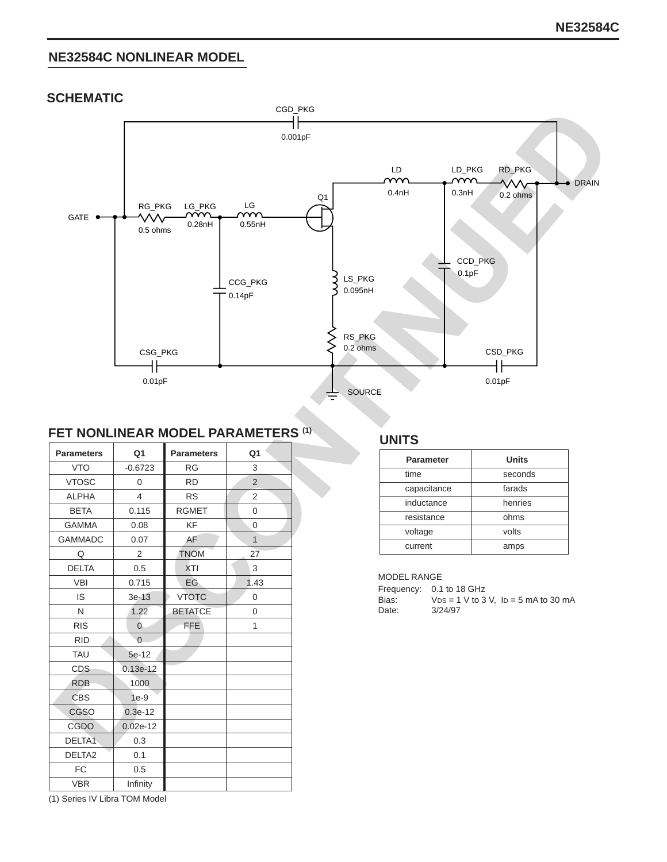## **NE32584C NONLINEAR MODEL**

### **SCHEMATIC**



#### **FET NONLINEAR MODEL PARAMETERS (1)**

| <b>Parameters</b>  | Q1             | <b>Parameters</b> | Q <sub>1</sub> |
|--------------------|----------------|-------------------|----------------|
| <b>VTO</b>         | $-0.6723$      | <b>RG</b>         | 3              |
| <b>VTOSC</b>       | 0              | <b>RD</b>         | $\overline{2}$ |
| <b>ALPHA</b>       | 4              | <b>RS</b>         | $\overline{2}$ |
| <b>BETA</b>        | 0.115          | <b>RGMET</b>      | 0              |
| <b>GAMMA</b>       | 0.08           | <b>KF</b>         | $\Omega$       |
| <b>GAMMADC</b>     | 0.07           | AF                | $\mathbf{1}$   |
| Q                  | 2              | <b>TNOM</b>       | 27             |
| <b>DELTA</b>       | 0.5            | <b>XTI</b>        | 3              |
| <b>VBI</b>         | 0.715          | <b>EG</b>         | 1.43           |
| IS                 | $3e-13$        | <b>VTOTC</b>      | 0              |
| N                  | 1.22           | <b>BETATCE</b>    | $\Omega$       |
| <b>RIS</b>         | $\Omega$       | <b>FFE</b>        | 1              |
| <b>RID</b>         | $\overline{0}$ |                   |                |
| <b>TAU</b>         | 5e-12          |                   |                |
| <b>CDS</b>         | $0.13e-12$     |                   |                |
| <b>RDB</b>         | 1000           |                   |                |
| <b>CBS</b>         | $1e-9$         |                   |                |
| <b>CGSO</b>        | $0.3e-12$      |                   |                |
| CGDO               | $0.02e-12$     |                   |                |
| DELTA <sub>1</sub> | 0.3            |                   |                |
| DELTA <sub>2</sub> | 0.1            |                   |                |
| <b>FC</b>          | 0.5            |                   |                |
| <b>VBR</b>         | Infinity       |                   |                |

**UNITS**

| <b>Parameter</b> | <b>Units</b> |
|------------------|--------------|
| time             | seconds      |
| capacitance      | farads       |
| inductance       | henries      |
| resistance       | ohms         |
| voltage          | volts        |
| current          | amps         |

MODEL RANGE

Frequency: 0.1 to 18 GHz Bias:  $VDS = 1 V to 3 V, ID = 5 mA to 30 mA$ <br>Date:  $3/24/97$ 3/24/97

(1) Series IV Libra TOM Model